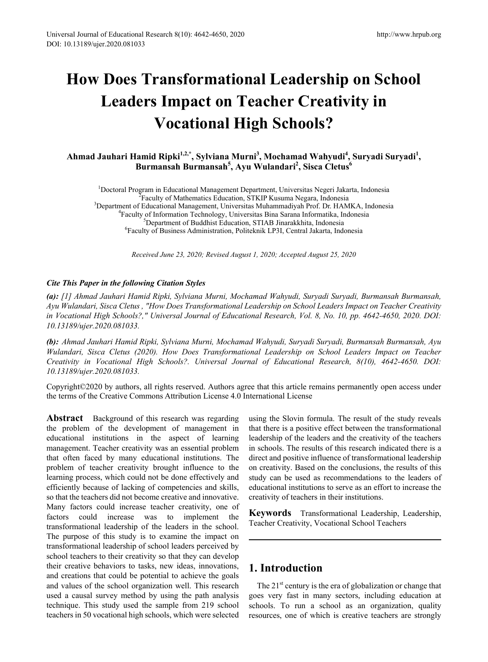# **How Does Transformational Leadership on School Leaders Impact on Teacher Creativity in Vocational High Schools?**

**Ahmad Jauhari Hamid Ripki1,2,\*, Sylviana Murni3 , Mochamad Wahyudi<sup>4</sup> , Suryadi Suryadi<sup>1</sup> , Burmansah Burmansah<sup>5</sup> , Ayu Wulandari<sup>2</sup> , Sisca Cletus6**

<sup>1</sup> Doctoral Program in Educational Management Department, Universitas Negeri Jakarta, Indonesia<br><sup>2</sup> Eaculty of Mathematics Education, STKIP Kusuma Negara, Indonesia Faculty of Mathematics Education, STKIP Kusuma Negara, Indonesia <sup>3</sup> Department of Educational Management, Universitas Muhammadiyah Prof. Dr. HAMKA, Indonesia <sup>4</sup> Faculty of Information Technology, Universitas Bina Sarana Informatika, Indonesia <sup>5</sup> <sup>5</sup>Department of Buddhist Education, STIAB Jinarakkhita, Indonesia Faculty of Business Administration, Politeknik LP3I, Central Jakarta, Indonesia

*Received June 23, 2020; Revised August 1, 2020; Accepted August 25, 2020*

## *Cite This Paper in the following Citation Styles*

*(a): [1] Ahmad Jauhari Hamid Ripki, Sylviana Murni, Mochamad Wahyudi, Suryadi Suryadi, Burmansah Burmansah, Ayu Wulandari, Sisca Cletus , "How Does Transformational Leadership on School Leaders Impact on Teacher Creativity in Vocational High Schools?," Universal Journal of Educational Research, Vol. 8, No. 10, pp. 4642-4650, 2020. DOI: 10.13189/ujer.2020.081033.* 

*(b): Ahmad Jauhari Hamid Ripki, Sylviana Murni, Mochamad Wahyudi, Suryadi Suryadi, Burmansah Burmansah, Ayu Wulandari, Sisca Cletus (2020). How Does Transformational Leadership on School Leaders Impact on Teacher Creativity in Vocational High Schools?. Universal Journal of Educational Research, 8(10), 4642-4650. DOI: 10.13189/ujer.2020.081033.* 

Copyright©2020 by authors, all rights reserved. Authors agree that this article remains permanently open access under the terms of the Creative Commons Attribution License 4.0 International License

**Abstract** Background of this research was regarding the problem of the development of management in educational institutions in the aspect of learning management. Teacher creativity was an essential problem that often faced by many educational institutions. The problem of teacher creativity brought influence to the learning process, which could not be done effectively and efficiently because of lacking of competencies and skills, so that the teachers did not become creative and innovative. Many factors could increase teacher creativity, one of factors could increase was to implement the transformational leadership of the leaders in the school. The purpose of this study is to examine the impact on transformational leadership of school leaders perceived by school teachers to their creativity so that they can develop their creative behaviors to tasks, new ideas, innovations, and creations that could be potential to achieve the goals and values of the school organization well. This research used a causal survey method by using the path analysis technique. This study used the sample from 219 school teachers in 50 vocational high schools, which were selected

using the Slovin formula. The result of the study reveals that there is a positive effect between the transformational leadership of the leaders and the creativity of the teachers in schools. The results of this research indicated there is a direct and positive influence of transformational leadership on creativity. Based on the conclusions, the results of this study can be used as recommendations to the leaders of educational institutions to serve as an effort to increase the creativity of teachers in their institutions.

**Keywords** Transformational Leadership, Leadership, Teacher Creativity, Vocational School Teachers

# **1. Introduction**

The  $21<sup>st</sup>$  century is the era of globalization or change that goes very fast in many sectors, including education at schools. To run a school as an organization, quality resources, one of which is creative teachers are strongly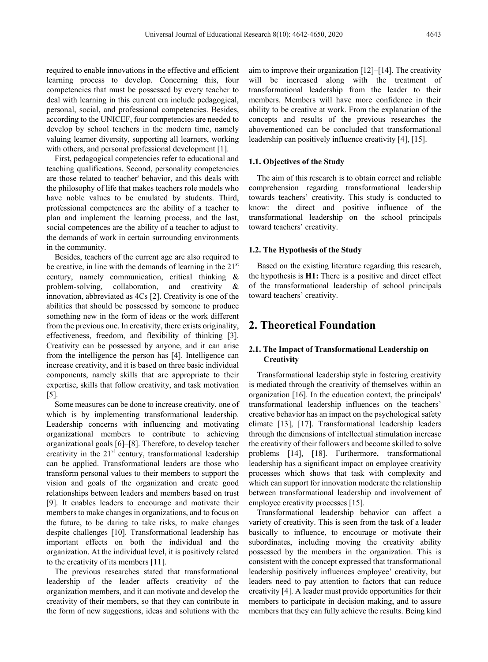required to enable innovations in the effective and efficient learning process to develop. Concerning this, four competencies that must be possessed by every teacher to deal with learning in this current era include pedagogical, personal, social, and professional competencies. Besides, according to the UNICEF, four competencies are needed to develop by school teachers in the modern time, namely valuing learner diversity, supporting all learners, working with others, and personal professional development [1].

First, pedagogical competencies refer to educational and teaching qualifications. Second, personality competencies are those related to teacher' behavior, and this deals with the philosophy of life that makes teachers role models who have noble values to be emulated by students. Third, professional competences are the ability of a teacher to plan and implement the learning process, and the last, social competences are the ability of a teacher to adjust to the demands of work in certain surrounding environments in the community.

Besides, teachers of the current age are also required to be creative, in line with the demands of learning in the  $21<sup>st</sup>$ century, namely communication, critical thinking & problem-solving, collaboration, and creativity & innovation, abbreviated as 4Cs [2]. Creativity is one of the abilities that should be possessed by someone to produce something new in the form of ideas or the work different from the previous one. In creativity, there exists originality, effectiveness, freedom, and flexibility of thinking [3]. Creativity can be possessed by anyone, and it can arise from the intelligence the person has [4]. Intelligence can increase creativity, and it is based on three basic individual components, namely skills that are appropriate to their expertise, skills that follow creativity, and task motivation [5].

Some measures can be done to increase creativity, one of which is by implementing transformational leadership. Leadership concerns with influencing and motivating organizational members to contribute to achieving organizational goals [6]–[8]. Therefore, to develop teacher creativity in the  $21<sup>st</sup>$  century, transformational leadership can be applied. Transformational leaders are those who transform personal values to their members to support the vision and goals of the organization and create good relationships between leaders and members based on trust [9]. It enables leaders to encourage and motivate their members to make changes in organizations, and to focus on the future, to be daring to take risks, to make changes despite challenges [10]. Transformational leadership has important effects on both the individual and the organization. At the individual level, it is positively related to the creativity of its members [11].

The previous researches stated that transformational leadership of the leader affects creativity of the organization members, and it can motivate and develop the creativity of their members, so that they can contribute in the form of new suggestions, ideas and solutions with the

aim to improve their organization [12]–[14]. The creativity will be increased along with the treatment of transformational leadership from the leader to their members. Members will have more confidence in their ability to be creative at work. From the explanation of the concepts and results of the previous researches the abovementioned can be concluded that transformational leadership can positively influence creativity [4], [15].

#### **1.1. Objectives of the Study**

The aim of this research is to obtain correct and reliable comprehension regarding transformational leadership towards teachers' creativity. This study is conducted to know: the direct and positive influence of the transformational leadership on the school principals toward teachers' creativity.

#### **1.2. The Hypothesis of the Study**

Based on the existing literature regarding this research, the hypothesis is **H1:** There is a positive and direct effect of the transformational leadership of school principals toward teachers' creativity.

## **2. Theoretical Foundation**

## **2.1. The Impact of Transformational Leadership on Creativity**

Transformational leadership style in fostering creativity is mediated through the creativity of themselves within an organization [16]. In the education context, the principals' transformational leadership influences on the teachers' creative behavior has an impact on the psychological safety climate [13], [17]. Transformational leadership leaders through the dimensions of intellectual stimulation increase the creativity of their followers and become skilled to solve problems [14], [18]. Furthermore, transformational leadership has a significant impact on employee creativity processes which shows that task with complexity and which can support for innovation moderate the relationship between transformational leadership and involvement of employee creativity processes [15].

Transformational leadership behavior can affect a variety of creativity. This is seen from the task of a leader basically to influence, to encourage or motivate their subordinates, including moving the creativity ability possessed by the members in the organization. This is consistent with the concept expressed that transformational leadership positively influences employee' creativity, but leaders need to pay attention to factors that can reduce creativity [4]. A leader must provide opportunities for their members to participate in decision making, and to assure members that they can fully achieve the results. Being kind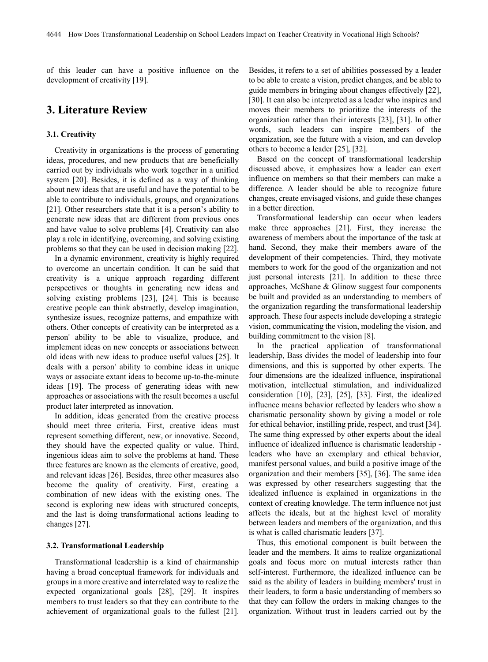of this leader can have a positive influence on the development of creativity [19].

## **3. Literature Review**

## **3.1. Creativity**

Creativity in organizations is the process of generating ideas, procedures, and new products that are beneficially carried out by individuals who work together in a unified system [20]. Besides, it is defined as a way of thinking about new ideas that are useful and have the potential to be able to contribute to individuals, groups, and organizations [21]. Other researchers state that it is a person's ability to generate new ideas that are different from previous ones and have value to solve problems [4]. Creativity can also play a role in identifying, overcoming, and solving existing problems so that they can be used in decision making [22].

In a dynamic environment, creativity is highly required to overcome an uncertain condition. It can be said that creativity is a unique approach regarding different perspectives or thoughts in generating new ideas and solving existing problems [23], [24]. This is because creative people can think abstractly, develop imagination, synthesize issues, recognize patterns, and empathize with others. Other concepts of creativity can be interpreted as a person' ability to be able to visualize, produce, and implement ideas on new concepts or associations between old ideas with new ideas to produce useful values [25]. It deals with a person' ability to combine ideas in unique ways or associate extant ideas to become up-to-the-minute ideas [19]. The process of generating ideas with new approaches or associations with the result becomes a useful product later interpreted as innovation.

In addition, ideas generated from the creative process should meet three criteria. First, creative ideas must represent something different, new, or innovative. Second, they should have the expected quality or value. Third, ingenious ideas aim to solve the problems at hand. These three features are known as the elements of creative, good, and relevant ideas [26]. Besides, three other measures also become the quality of creativity. First, creating a combination of new ideas with the existing ones. The second is exploring new ideas with structured concepts, and the last is doing transformational actions leading to changes [27].

#### **3.2. Transformational Leadership**

Transformational leadership is a kind of chairmanship having a broad conceptual framework for individuals and groups in a more creative and interrelated way to realize the expected organizational goals [28], [29]. It inspires members to trust leaders so that they can contribute to the achievement of organizational goals to the fullest [21].

Besides, it refers to a set of abilities possessed by a leader to be able to create a vision, predict changes, and be able to guide members in bringing about changes effectively [22], [30]. It can also be interpreted as a leader who inspires and moves their members to prioritize the interests of the organization rather than their interests [23], [31]. In other words, such leaders can inspire members of the organization, see the future with a vision, and can develop others to become a leader [25], [32].

Based on the concept of transformational leadership discussed above, it emphasizes how a leader can exert influence on members so that their members can make a difference. A leader should be able to recognize future changes, create envisaged visions, and guide these changes in a better direction.

Transformational leadership can occur when leaders make three approaches [21]. First, they increase the awareness of members about the importance of the task at hand. Second, they make their members aware of the development of their competencies. Third, they motivate members to work for the good of the organization and not just personal interests [21]. In addition to these three approaches, McShane & Glinow suggest four components be built and provided as an understanding to members of the organization regarding the transformational leadership approach. These four aspects include developing a strategic vision, communicating the vision, modeling the vision, and building commitment to the vision [8].

In the practical application of transformational leadership, Bass divides the model of leadership into four dimensions, and this is supported by other experts. The four dimensions are the idealized influence, inspirational motivation, intellectual stimulation, and individualized consideration [10], [23], [25], [33]. First, the idealized influence means behavior reflected by leaders who show a charismatic personality shown by giving a model or role for ethical behavior, instilling pride, respect, and trust [34]. The same thing expressed by other experts about the ideal influence of idealized influence is charismatic leadership leaders who have an exemplary and ethical behavior, manifest personal values, and build a positive image of the organization and their members [35], [36]. The same idea was expressed by other researchers suggesting that the idealized influence is explained in organizations in the context of creating knowledge. The term influence not just affects the ideals, but at the highest level of morality between leaders and members of the organization, and this is what is called charismatic leaders [37].

Thus, this emotional component is built between the leader and the members. It aims to realize organizational goals and focus more on mutual interests rather than self-interest. Furthermore, the idealized influence can be said as the ability of leaders in building members' trust in their leaders, to form a basic understanding of members so that they can follow the orders in making changes to the organization. Without trust in leaders carried out by the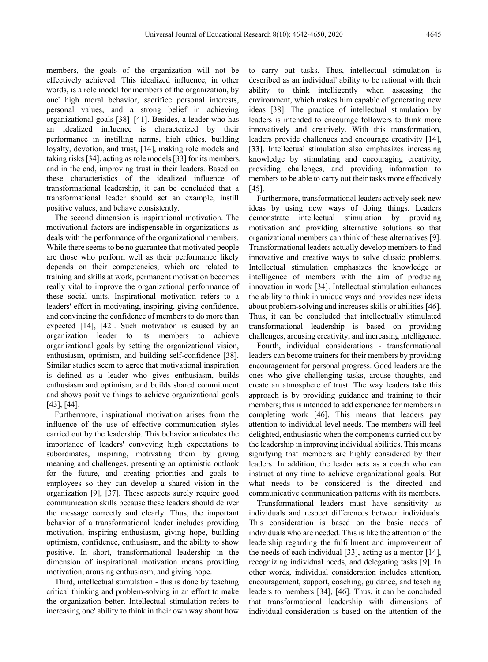members, the goals of the organization will not be effectively achieved. This idealized influence, in other words, is a role model for members of the organization, by one' high moral behavior, sacrifice personal interests, personal values, and a strong belief in achieving organizational goals [38]–[41]. Besides, a leader who has an idealized influence is characterized by their performance in instilling norms, high ethics, building loyalty, devotion, and trust, [14], making role models and taking risks [34], acting as role models [33] for its members, and in the end, improving trust in their leaders. Based on these characteristics of the idealized influence of transformational leadership, it can be concluded that a transformational leader should set an example, instill positive values, and behave consistently.

The second dimension is inspirational motivation. The motivational factors are indispensable in organizations as deals with the performance of the organizational members. While there seems to be no guarantee that motivated people are those who perform well as their performance likely depends on their competencies, which are related to training and skills at work, permanent motivation becomes really vital to improve the organizational performance of these social units. Inspirational motivation refers to a leaders' effort in motivating, inspiring, giving confidence, and convincing the confidence of members to do more than expected [14], [42]. Such motivation is caused by an organization leader to its members to achieve organizational goals by setting the organizational vision, enthusiasm, optimism, and building self-confidence [38]. Similar studies seem to agree that motivational inspiration is defined as a leader who gives enthusiasm, builds enthusiasm and optimism, and builds shared commitment and shows positive things to achieve organizational goals [43], [44].

Furthermore, inspirational motivation arises from the influence of the use of effective communication styles carried out by the leadership. This behavior articulates the importance of leaders' conveying high expectations to subordinates, inspiring, motivating them by giving meaning and challenges, presenting an optimistic outlook for the future, and creating priorities and goals to employees so they can develop a shared vision in the organization [9], [37]. These aspects surely require good communication skills because these leaders should deliver the message correctly and clearly. Thus, the important behavior of a transformational leader includes providing motivation, inspiring enthusiasm, giving hope, building optimism, confidence, enthusiasm, and the ability to show positive. In short, transformational leadership in the dimension of inspirational motivation means providing motivation, arousing enthusiasm, and giving hope.

Third, intellectual stimulation - this is done by teaching critical thinking and problem-solving in an effort to make the organization better. Intellectual stimulation refers to increasing one' ability to think in their own way about how

to carry out tasks. Thus, intellectual stimulation is described as an individual' ability to be rational with their ability to think intelligently when assessing the environment, which makes him capable of generating new ideas [38]. The practice of intellectual stimulation by leaders is intended to encourage followers to think more innovatively and creatively. With this transformation, leaders provide challenges and encourage creativity [14], [33]. Intellectual stimulation also emphasizes increasing knowledge by stimulating and encouraging creativity, providing challenges, and providing information to members to be able to carry out their tasks more effectively [45].

Furthermore, transformational leaders actively seek new ideas by using new ways of doing things. Leaders demonstrate intellectual stimulation by providing motivation and providing alternative solutions so that organizational members can think of these alternatives [9]. Transformational leaders actually develop members to find innovative and creative ways to solve classic problems. Intellectual stimulation emphasizes the knowledge or intelligence of members with the aim of producing innovation in work [34]. Intellectual stimulation enhances the ability to think in unique ways and provides new ideas about problem-solving and increases skills or abilities [46]. Thus, it can be concluded that intellectually stimulated transformational leadership is based on providing challenges, arousing creativity, and increasing intelligence.

Fourth, individual considerations - transformational leaders can become trainers for their members by providing encouragement for personal progress. Good leaders are the ones who give challenging tasks, arouse thoughts, and create an atmosphere of trust. The way leaders take this approach is by providing guidance and training to their members; this is intended to add experience for members in completing work [46]. This means that leaders pay attention to individual-level needs. The members will feel delighted, enthusiastic when the components carried out by the leadership in improving individual abilities. This means signifying that members are highly considered by their leaders. In addition, the leader acts as a coach who can instruct at any time to achieve organizational goals. But what needs to be considered is the directed and communicative communication patterns with its members.

Transformational leaders must have sensitivity as individuals and respect differences between individuals. This consideration is based on the basic needs of individuals who are needed. This is like the attention of the leadership regarding the fulfillment and improvement of the needs of each individual [33], acting as a mentor [14], recognizing individual needs, and delegating tasks [9]. In other words, individual consideration includes attention, encouragement, support, coaching, guidance, and teaching leaders to members [34], [46]. Thus, it can be concluded that transformational leadership with dimensions of individual consideration is based on the attention of the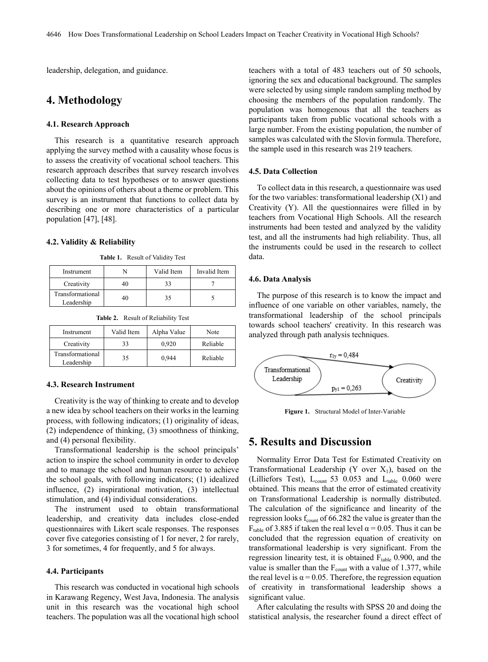leadership, delegation, and guidance.

# **4. Methodology**

#### **4.1. Research Approach**

This research is a quantitative research approach applying the survey method with a causality whose focus is to assess the creativity of vocational school teachers. This research approach describes that survey research involves collecting data to test hypotheses or to answer questions about the opinions of others about a theme or problem. This survey is an instrument that functions to collect data by describing one or more characteristics of a particular population [47], [48].

#### **4.2. Validity & Reliability**

**Table 1.** Result of Validity Test

| Instrument                     |    | Valid Item | Invalid Item |
|--------------------------------|----|------------|--------------|
| Creativity                     | 40 |            |              |
| Transformational<br>Leadership | 40 |            |              |

**Table 2.** Result of Reliability Test

| Instrument                     | Valid Item | Alpha Value | Note     |
|--------------------------------|------------|-------------|----------|
| Creativity                     | 33         | 0.920       | Reliable |
| Transformational<br>Leadership | 35         | 0.944       | Reliable |

### **4.3. Research Instrument**

Creativity is the way of thinking to create and to develop a new idea by school teachers on their works in the learning process, with following indicators; (1) originality of ideas, (2) independence of thinking, (3) smoothness of thinking, and (4) personal flexibility.

Transformational leadership is the school principals' action to inspire the school community in order to develop and to manage the school and human resource to achieve the school goals, with following indicators; (1) idealized influence, (2) inspirational motivation, (3) intellectual stimulation, and (4) individual considerations.

The instrument used to obtain transformational leadership, and creativity data includes close-ended questionnaires with Likert scale responses. The responses cover five categories consisting of 1 for never, 2 for rarely, 3 for sometimes, 4 for frequently, and 5 for always.

#### **4.4. Participants**

This research was conducted in vocational high schools in Karawang Regency, West Java, Indonesia. The analysis unit in this research was the vocational high school teachers. The population was all the vocational high school

teachers with a total of 483 teachers out of 50 schools, ignoring the sex and educational background. The samples were selected by using simple random sampling method by choosing the members of the population randomly. The population was homogenous that all the teachers as participants taken from public vocational schools with a large number. From the existing population, the number of samples was calculated with the Slovin formula. Therefore, the sample used in this research was 219 teachers.

#### **4.5. Data Collection**

To collect data in this research, a questionnaire was used for the two variables: transformational leadership (X1) and Creativity (Y). All the questionnaires were filled in by teachers from Vocational High Schools. All the research instruments had been tested and analyzed by the validity test, and all the instruments had high reliability. Thus, all the instruments could be used in the research to collect data.

#### **4.6. Data Analysis**

The purpose of this research is to know the impact and influence of one variable on other variables, namely, the transformational leadership of the school principals towards school teachers' creativity. In this research was analyzed through path analysis techniques.



**Figure 1.** Structural Model of Inter-Variable

## **5. Results and Discussion**

Normality Error Data Test for Estimated Creativity on Transformational Leadership (Y over  $X_1$ ), based on the (Lilliefors Test),  $L_{\text{count}}$  53 0.053 and  $L_{\text{table}}$  0.060 were obtained. This means that the error of estimated creativity on Transformational Leadership is normally distributed. The calculation of the significance and linearity of the regression looks  $f_{\text{count}}$  of 66.282 the value is greater than the F<sub>table</sub> of 3.885 if taken the real level  $\alpha$  = 0.05. Thus it can be concluded that the regression equation of creativity on transformational leadership is very significant. From the regression linearity test, it is obtained  $F_{table}$  0.900, and the value is smaller than the  $F_{\text{count}}$  with a value of 1.377, while the real level is  $\alpha = 0.05$ . Therefore, the regression equation of creativity in transformational leadership shows a significant value.

After calculating the results with SPSS 20 and doing the statistical analysis, the researcher found a direct effect of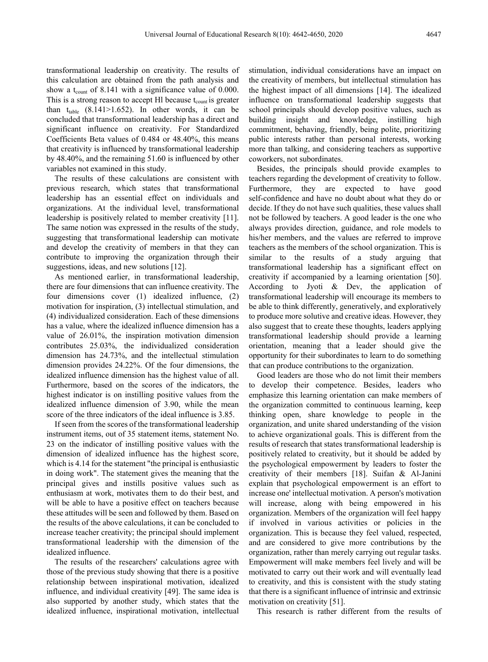transformational leadership on creativity. The results of this calculation are obtained from the path analysis and show a t<sub>count</sub> of 8.141 with a significance value of 0.000. This is a strong reason to accept Hl because  $t_{\text{count}}$  is greater than  $t_{table}$  (8.141>1.652). In other words, it can be concluded that transformational leadership has a direct and significant influence on creativity. For Standardized Coefficients Beta values of 0.484 or 48.40%, this means that creativity is influenced by transformational leadership by 48.40%, and the remaining 51.60 is influenced by other variables not examined in this study.

The results of these calculations are consistent with previous research, which states that transformational leadership has an essential effect on individuals and organizations. At the individual level, transformational leadership is positively related to member creativity [11]. The same notion was expressed in the results of the study, suggesting that transformational leadership can motivate and develop the creativity of members in that they can contribute to improving the organization through their suggestions, ideas, and new solutions [12].

As mentioned earlier, in transformational leadership, there are four dimensions that can influence creativity. The four dimensions cover (1) idealized influence, (2) motivation for inspiration, (3) intellectual stimulation, and (4) individualized consideration. Each of these dimensions has a value, where the idealized influence dimension has a value of 26.01%, the inspiration motivation dimension contributes 25.03%, the individualized consideration dimension has 24.73%, and the intellectual stimulation dimension provides 24.22%. Of the four dimensions, the idealized influence dimension has the highest value of all. Furthermore, based on the scores of the indicators, the highest indicator is on instilling positive values from the idealized influence dimension of 3.90, while the mean score of the three indicators of the ideal influence is 3.85.

If seen from the scores of the transformational leadership instrument items, out of 35 statement items, statement No. 23 on the indicator of instilling positive values with the dimension of idealized influence has the highest score, which is 4.14 for the statement "the principal is enthusiastic in doing work". The statement gives the meaning that the principal gives and instills positive values such as enthusiasm at work, motivates them to do their best, and will be able to have a positive effect on teachers because these attitudes will be seen and followed by them. Based on the results of the above calculations, it can be concluded to increase teacher creativity; the principal should implement transformational leadership with the dimension of the idealized influence.

The results of the researchers' calculations agree with those of the previous study showing that there is a positive relationship between inspirational motivation, idealized influence, and individual creativity [49]. The same idea is also supported by another study, which states that the idealized influence, inspirational motivation, intellectual stimulation, individual considerations have an impact on the creativity of members, but intellectual stimulation has the highest impact of all dimensions [14]. The idealized influence on transformational leadership suggests that school principals should develop positive values, such as building insight and knowledge, instilling high commitment, behaving, friendly, being polite, prioritizing public interests rather than personal interests, working more than talking, and considering teachers as supportive coworkers, not subordinates.

Besides, the principals should provide examples to teachers regarding the development of creativity to follow. Furthermore, they are expected to have good self-confidence and have no doubt about what they do or decide. If they do not have such qualities, these values shall not be followed by teachers. A good leader is the one who always provides direction, guidance, and role models to his/her members, and the values are referred to improve teachers as the members of the school organization. This is similar to the results of a study arguing that transformational leadership has a significant effect on creativity if accompanied by a learning orientation [50]. According to Jyoti & Dev, the application of transformational leadership will encourage its members to be able to think differently, generatively, and exploratively to produce more solutive and creative ideas. However, they also suggest that to create these thoughts, leaders applying transformational leadership should provide a learning orientation, meaning that a leader should give the opportunity for their subordinates to learn to do something that can produce contributions to the organization.

Good leaders are those who do not limit their members to develop their competence. Besides, leaders who emphasize this learning orientation can make members of the organization committed to continuous learning, keep thinking open, share knowledge to people in the organization, and unite shared understanding of the vision to achieve organizational goals. This is different from the results of research that states transformational leadership is positively related to creativity, but it should be added by the psychological empowerment by leaders to foster the creativity of their members [18]. Suifan & Al-Janini explain that psychological empowerment is an effort to increase one' intellectual motivation. A person's motivation will increase, along with being empowered in his organization. Members of the organization will feel happy if involved in various activities or policies in the organization. This is because they feel valued, respected, and are considered to give more contributions by the organization, rather than merely carrying out regular tasks. Empowerment will make members feel lively and will be motivated to carry out their work and will eventually lead to creativity, and this is consistent with the study stating that there is a significant influence of intrinsic and extrinsic motivation on creativity [51].

This research is rather different from the results of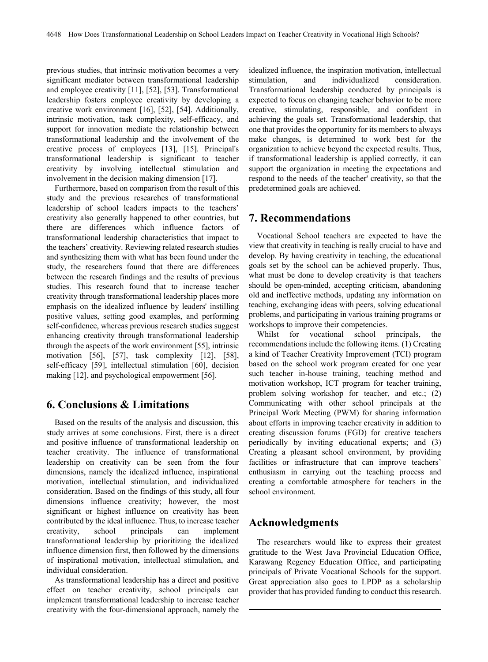previous studies, that intrinsic motivation becomes a very significant mediator between transformational leadership and employee creativity [11], [52], [53]. Transformational leadership fosters employee creativity by developing a creative work environment [16], [52], [54]. Additionally, intrinsic motivation, task complexity, self-efficacy, and support for innovation mediate the relationship between transformational leadership and the involvement of the creative process of employees [13], [15]. Principal's transformational leadership is significant to teacher creativity by involving intellectual stimulation and involvement in the decision making dimension [17].

Furthermore, based on comparison from the result of this study and the previous researches of transformational leadership of school leaders impacts to the teachers' creativity also generally happened to other countries, but there are differences which influence factors of transformational leadership characteristics that impact to the teachers' creativity. Reviewing related research studies and synthesizing them with what has been found under the study, the researchers found that there are differences between the research findings and the results of previous studies. This research found that to increase teacher creativity through transformational leadership places more emphasis on the idealized influence by leaders' instilling positive values, setting good examples, and performing self-confidence, whereas previous research studies suggest enhancing creativity through transformational leadership through the aspects of the work environment [55], intrinsic motivation [56], [57], task complexity [12], [58], self-efficacy [59], intellectual stimulation [60], decision making [12], and psychological empowerment [56].

# **6. Conclusions & Limitations**

Based on the results of the analysis and discussion, this study arrives at some conclusions. First, there is a direct and positive influence of transformational leadership on teacher creativity. The influence of transformational leadership on creativity can be seen from the four dimensions, namely the idealized influence, inspirational motivation, intellectual stimulation, and individualized consideration. Based on the findings of this study, all four dimensions influence creativity; however, the most significant or highest influence on creativity has been contributed by the ideal influence. Thus, to increase teacher creativity, school principals can implement transformational leadership by prioritizing the idealized influence dimension first, then followed by the dimensions of inspirational motivation, intellectual stimulation, and individual consideration.

As transformational leadership has a direct and positive effect on teacher creativity, school principals can implement transformational leadership to increase teacher creativity with the four-dimensional approach, namely the

idealized influence, the inspiration motivation, intellectual stimulation, and individualized consideration. Transformational leadership conducted by principals is expected to focus on changing teacher behavior to be more creative, stimulating, responsible, and confident in achieving the goals set. Transformational leadership, that one that provides the opportunity for its members to always make changes, is determined to work best for the organization to achieve beyond the expected results. Thus, if transformational leadership is applied correctly, it can support the organization in meeting the expectations and respond to the needs of the teacher' creativity, so that the predetermined goals are achieved.

# **7. Recommendations**

Vocational School teachers are expected to have the view that creativity in teaching is really crucial to have and develop. By having creativity in teaching, the educational goals set by the school can be achieved properly. Thus, what must be done to develop creativity is that teachers should be open-minded, accepting criticism, abandoning old and ineffective methods, updating any information on teaching, exchanging ideas with peers, solving educational problems, and participating in various training programs or workshops to improve their competencies.

Whilst for vocational school principals, the recommendations include the following items. (1) Creating a kind of Teacher Creativity Improvement (TCI) program based on the school work program created for one year such teacher in-house training, teaching method and motivation workshop, ICT program for teacher training, problem solving workshop for teacher, and etc.; (2) Communicating with other school principals at the Principal Work Meeting (PWM) for sharing information about efforts in improving teacher creativity in addition to creating discussion forums (FGD) for creative teachers periodically by inviting educational experts; and (3) Creating a pleasant school environment, by providing facilities or infrastructure that can improve teachers' enthusiasm in carrying out the teaching process and creating a comfortable atmosphere for teachers in the school environment.

# **Acknowledgments**

The researchers would like to express their greatest gratitude to the West Java Provincial Education Office, Karawang Regency Education Office, and participating principals of Private Vocational Schools for the support. Great appreciation also goes to LPDP as a scholarship provider that has provided funding to conduct this research.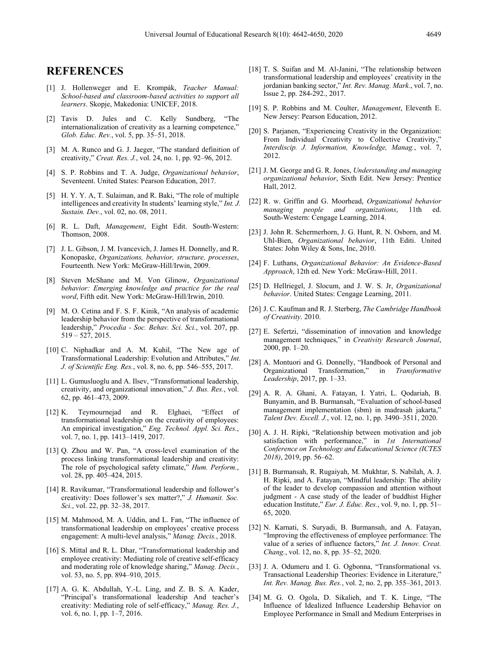## **REFERENCES**

- [1] J. Hollenweger and E. Krompák, *Teacher Manual: School-based and classroom-based activities to support all learners*. Skopje, Makedonia: UNICEF, 2018.
- [2] Tavis D. Jules and C. Kelly Sundberg, "The internationalization of creativity as a learning competence," *Glob. Educ. Rev.*, vol. 5, pp. 35–51, 2018.
- [3] M. A. Runco and G. J. Jaeger, "The standard definition of creativity," *Creat. Res. J.*, vol. 24, no. 1, pp. 92–96, 2012.
- [4] S. P. Robbins and T. A. Judge, *Organizational behavior*, Seventeent. United States: Pearson Education, 2017.
- [5] H. Y. Y. A, T. Sulaiman, and R. Baki, "The role of multiple intelligences and creativity In students' learning style," *Int. J. Sustain. Dev.*, vol. 02, no. 08, 2011.
- [6] R. L. Daft, *Management*, Eight Edit. South-Western: Thomson, 2008.
- [7] J. L. Gibson, J. M. Ivancevich, J. James H. Donnelly, and R. Konopaske, *Organizations, behavior, structure, processes*, Fourteenth. New York: McGraw-Hill/Irwin, 2009.
- [8] Steven McShane and M. Von Glinow, *Organizational behavior: Emerging knowledge and practice for the real word*, Fifth edit. New York: McGraw-Hill/Irwin, 2010.
- [9] M. O. Cetina and F. S. F. Kinik, "An analysis of academic leadership behavior from the perspective of transformational leadership," *Procedia - Soc. Behav. Sci. Sci.*, vol. 207, pp. 519 – 527, 2015.
- [10] C. Niphadkar and A. M. Kuhil, "The New age of Transformational Leadership: Evolution and Attributes," *Int. J. of Scientific Eng. Res.*, vol. 8, no. 6, pp. 546–555, 2017.
- [11] L. Gumusluoglu and A. Ilsev, "Transformational leadership, creativity, and organizational innovation," *J. Bus. Res.*, vol. 62, pp. 461–473, 2009.
- [12] K. Teymournejad and R. Elghaei, "Effect of transformational leadership on the creativity of employees: An empirical investigation," *Eng. Technol. Appl. Sci. Res.*, vol. 7, no. 1, pp. 1413–1419, 2017.
- [13] Q. Zhou and W. Pan, "A cross-level examination of the process linking transformational leadership and creativity: The role of psychological safety climate," *Hum. Perform.*, vol. 28, pp. 405–424, 2015.
- [14] R. Ravikumar, "Transformational leadership and follower's creativity: Does follower's sex matter?," *J. Humanit. Soc. Sci.*, vol. 22, pp. 32–38, 2017.
- [15] M. Mahmood, M. A. Uddin, and L. Fan, "The influence of transformational leadership on employees' creative process engagement: A multi-level analysis," *Manag. Decis.*, 2018.
- [16] S. Mittal and R. L. Dhar, "Transformational leadership and employee creativity: Mediating role of creative self-efficacy and moderating role of knowledge sharing," *Manag. Decis.*, vol. 53, no. 5, pp. 894–910, 2015.
- [17] A. G. K. Abdullah, Y.-L. Ling, and Z. B. S. A. Kader, "Principal's transformational leadership And teacher's creativity: Mediating role of self-efficacy," *Manag. Res. J.*, vol. 6, no. 1, pp. 1–7, 2016.
- [18] T. S. Suifan and M. Al-Janini, "The relationship between transformational leadership and employees' creativity in the jordanian banking sector," *Int. Rev. Manag. Mark.*, vol. 7, no. Issue 2, pp. 284-292., 2017.
- [19] S. P. Robbins and M. Coulter, *Management*, Eleventh E. New Jersey: Pearson Education, 2012.
- [20] S. Parjanen, "Experiencing Creativity in the Organization: From Individual Creativity to Collective Creativity," *Interdiscip. J. Information, Knowledge, Manag.*, vol. 7, 2012.
- [21] J. M. George and G. R. Jones, *Understanding and managing organizational behavior*, Sixth Edit. New Jersey: Prentice Hall, 2012.
- [22] R. w. Griffin and G. Moorhead, *Organizational behavior managing people and organizations,* South-Western: Cengage Learning, 2014.
- [23] J. John R. Schermerhorn, J. G. Hunt, R. N. Osborn, and M. Uhl-Bien, *Organizational behavior*, 11th Editi. United States: John Wiley & Sons, Inc, 2010.
- [24] F. Luthans, *Organizational Behavior: An Evidence-Based Approach*, 12th ed. New York: McGraw-Hill, 2011.
- [25] D. Hellriegel, J. Slocum, and J. W. S. Jr, *Organizational behavior*. United States: Cengage Learning, 2011.
- [26] J. C. Kaufman and R. J. Sterberg, *The Cambridge Handbook of Creativity*. 2010.
- [27] E. Sefertzi, "dissemination of innovation and knowledge management techniques," in *Creativity Research Journal*, 2000, pp. 1–20.
- [28] A. Montuori and G. Donnelly, "Handbook of Personal and Organizational Transformation," in *Transformative Leadership*, 2017, pp. 1–33.
- [29] A. R. A. Ghani, A. Fatayan, I. Yatri, L. Qodariah, B. Bunyamin, and B. Burmansah, "Evaluation of school-based management implementation (sbm) in madrasah jakarta," *Talent Dev. Excell. J.*, vol. 12, no. 1, pp. 3490–3511, 2020.
- [30] A. J. H. Ripki, "Relationship between motivation and job satisfaction with performance," in *1st International Conference on Technology and Educational Science (ICTES 2018)*, 2019, pp. 56–62.
- [31] B. Burmansah, R. Rugaiyah, M. Mukhtar, S. Nabilah, A. J. H. Ripki, and A. Fatayan, "Mindful leadership: The ability of the leader to develop compassion and attention without judgment - A case study of the leader of buddhist Higher education Institute," *Eur. J. Educ. Res.*, vol. 9, no. 1, pp. 51– 65, 2020.
- [32] N. Karnati, S. Suryadi, B. Burmansah, and A. Fatayan, "Improving the effectiveness of employee performance: The value of a series of influence factors," *Int. J. Innov. Creat. Chang.*, vol. 12, no. 8, pp. 35–52, 2020.
- [33] J. A. Odumeru and I. G. Ogbonna, "Transformational vs. Transactional Leadership Theories: Evidence in Literature," *Int. Rev. Manag. Bus. Res.*, vol. 2, no. 2, pp. 355–361, 2013.
- [34] M. G. O. Ogola, D. Sikalieh, and T. K. Linge, "The Influence of Idealized Influence Leadership Behavior on Employee Performance in Small and Medium Enterprises in